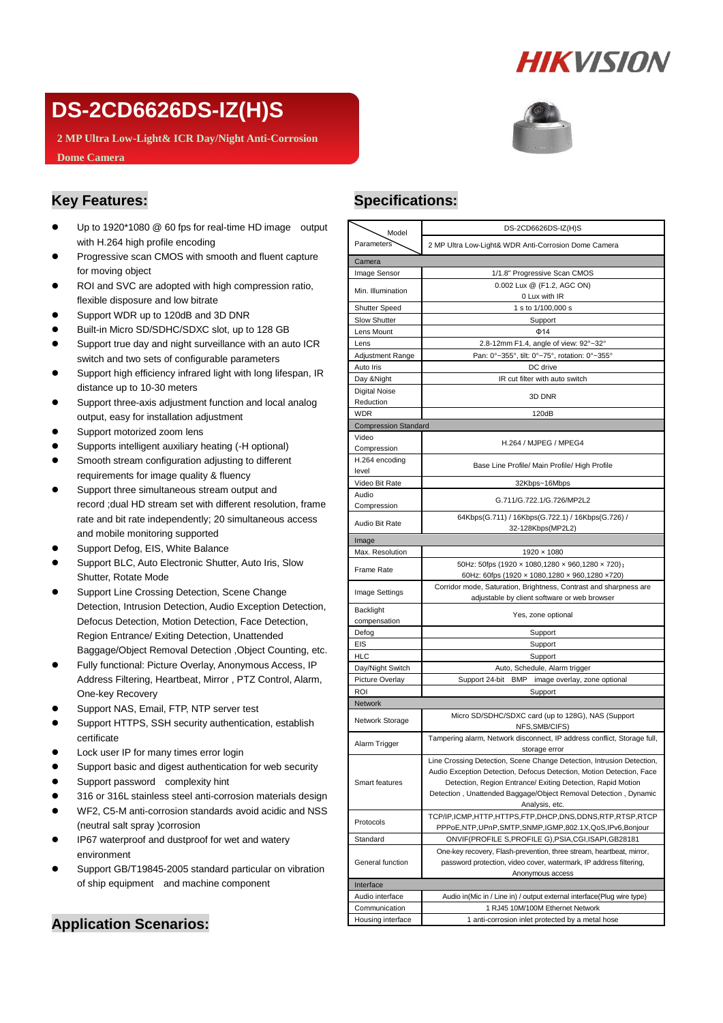

# **DS-2CD6626DS-IZ(H)S**

**2 MP Ultra Low-Light& ICR Day/Night Anti-Corrosion**

#### **Dome Camera**



### **Key Features:**

- Up to 1920\*1080 @ 60 fps for real-time HD image output with H.264 high profile encoding
- **•** Progressive scan CMOS with smooth and fluent capture for moving object
- ROI and SVC are adopted with high compression ratio, flexible disposure and low bitrate
- Support WDR up to 120dB and 3D DNR
- Built-in Micro SD/SDHC/SDXC slot, up to 128 GB
- Support true day and night surveillance with an auto ICR switch and two sets of configurable parameters
- Support high efficiency infrared light with long lifespan, IR distance up to 10-30 meters
- Support three-axis adjustment function and local analog output, easy for installation adjustment
- **•** Support motorized zoom lens
- Supports intelligent auxiliary heating (-H optional)
- Smooth stream configuration adjusting to different requirements for image quality & fluency
- **•** Support three simultaneous stream output and record ;dual HD stream set with different resolution, frame rate and bit rate independently; 20 simultaneous access and mobile monitoring supported
- **Support Defog, EIS, White Balance**
- Support BLC, Auto Electronic Shutter, Auto Iris, Slow Shutter, Rotate Mode
- **•** Support Line Crossing Detection, Scene Change Detection, Intrusion Detection, Audio Exception Detection, Defocus Detection, Motion Detection, Face Detection, Region Entrance/ Exiting Detection, Unattended Baggage/Object Removal Detection ,Object Counting, etc.
- Fully functional: Picture Overlay, Anonymous Access, IP Address Filtering, Heartbeat, Mirror , PTZ Control, Alarm, One-key Recovery
- **•** Support NAS, Email, FTP, NTP server test
- Support HTTPS, SSH security authentication, establish certificate
- $\bullet$  Lock user IP for many times error login
- Support basic and digest authentication for web security
- Support password complexity hint
- 316 or 316L stainless steel anti-corrosion materials design
- WF2, C5-M anti-corrosion standards avoid acidic and NSS (neutral salt spray )corrosion
- IP67 waterproof and dustproof for wet and watery environment
- Support GB/T19845-2005 standard particular on vibration of ship equipment and machine component

### **Application Scenarios:**

## **Specifications:**

| Model                        | DS-2CD6626DS-IZ(H)S                                                     |
|------------------------------|-------------------------------------------------------------------------|
| Parameters                   | 2 MP Ultra Low-Light& WDR Anti-Corrosion Dome Camera                    |
| Camera                       |                                                                         |
| Image Sensor                 | 1/1.8" Progressive Scan CMOS                                            |
| Min. Illumination            | 0.002 Lux @ (F1.2, AGC ON)                                              |
|                              | 0 Lux with IR                                                           |
| Shutter Speed                | 1 s to 1/100,000 s                                                      |
| Slow Shutter                 | Support                                                                 |
| Lens Mount                   | $\Phi$ 14                                                               |
| Lens                         | 2.8-12mm F1.4, angle of view: 92°~32°                                   |
| Adjustment Range             | Pan: 0°~355°, tilt: 0°~75°, rotation: 0°~355°                           |
| Auto Iris                    | DC drive                                                                |
| Day & Night                  | IR cut filter with auto switch                                          |
| <b>Digital Noise</b>         | 3D DNR                                                                  |
| Reduction                    |                                                                         |
| <b>WDR</b>                   | 120dB                                                                   |
| <b>Compression Standard</b>  |                                                                         |
| Video                        | H.264 / MJPEG / MPEG4                                                   |
| Compression                  |                                                                         |
| H.264 encoding               | Base Line Profile/ Main Profile/ High Profile                           |
| level                        |                                                                         |
| Video Bit Rate               | 32Kbps~16Mbps                                                           |
| Audio<br>Compression         | G.711/G.722.1/G.726/MP2L2                                               |
|                              | 64Kbps(G.711) / 16Kbps(G.722.1) / 16Kbps(G.726) /                       |
| Audio Bit Rate               | 32-128Kbps(MP2L2)                                                       |
| Image                        |                                                                         |
| Max. Resolution              | 1920 × 1080                                                             |
|                              | 50Hz: 50fps (1920 x 1080,1280 x 960,1280 x 720);                        |
| Frame Rate                   | 60Hz: 60fps (1920 x 1080,1280 x 960,1280 x720)                          |
|                              | Corridor mode, Saturation, Brightness, Contrast and sharpness are       |
| Image Settings               | adjustable by client software or web browser                            |
| Backlight                    |                                                                         |
| compensation                 | Yes, zone optional                                                      |
| Defog                        | Support                                                                 |
| EIS                          | Support                                                                 |
| <b>HLC</b>                   | Support                                                                 |
| Day/Night Switch             | Auto, Schedule, Alarm trigger                                           |
| Picture Overlay              | Support 24-bit<br>BMP image overlay, zone optional                      |
| ROI                          | Support                                                                 |
| <b>Network</b>               |                                                                         |
| Network Storage              | Micro SD/SDHC/SDXC card (up to 128G), NAS (Support<br>NFS, SMB/CIFS)    |
|                              | Tampering alarm, Network disconnect, IP address conflict, Storage full, |
| Alarm Trigger                | storage error                                                           |
|                              | Line Crossing Detection, Scene Change Detection, Intrusion Detection,   |
|                              | Audio Exception Detection, Defocus Detection, Motion Detection, Face    |
| Smart features               | Detection, Region Entrance/ Exiting Detection, Rapid Motion             |
|                              | Detection, Unattended Baggage/Object Removal Detection, Dynamic         |
|                              | Analysis, etc.                                                          |
| Protocols                    | TCP/IP,ICMP,HTTP,HTTPS,FTP,DHCP,DNS,DDNS,RTP,RTSP,RTCP                  |
|                              | PPPoE,NTP,UPnP,SMTP,SNMP,IGMP,802.1X,QoS,IPv6,Bonjour                   |
| Standard                     | ONVIF(PROFILE S, PROFILE G), PSIA, CGI, ISAPI, GB28181                  |
|                              | One-key recovery, Flash-prevention, three stream, heartbeat, mirror,    |
| General function             | password protection, video cover, watermark, IP address filtering,      |
|                              | Anonymous access                                                        |
| Interface<br>Audio interface | Audio in(Mic in / Line in) / output external interface(Plug wire type)  |
| Communication                | 1 RJ45 10M/100M Ethernet Network                                        |
| Housing interface            | 1 anti-corrosion inlet protected by a metal hose                        |
|                              |                                                                         |